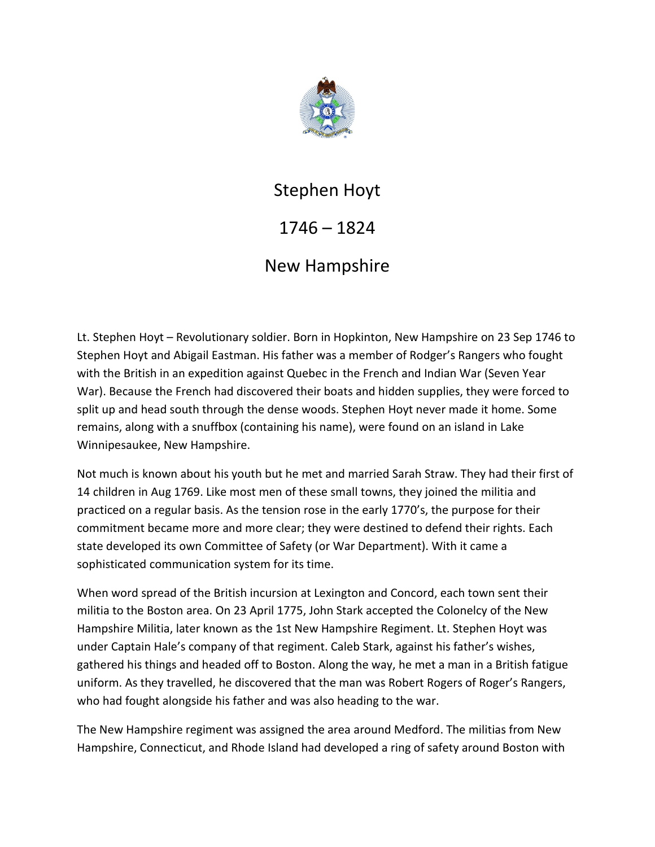

## Stephen Hoyt

## 1746 – 1824

## New Hampshire

Lt. Stephen Hoyt – Revolutionary soldier. Born in Hopkinton, New Hampshire on 23 Sep 1746 to Stephen Hoyt and Abigail Eastman. His father was a member of Rodger's Rangers who fought with the British in an expedition against Quebec in the French and Indian War (Seven Year War). Because the French had discovered their boats and hidden supplies, they were forced to split up and head south through the dense woods. Stephen Hoyt never made it home. Some remains, along with a snuffbox (containing his name), were found on an island in Lake Winnipesaukee, New Hampshire.

Not much is known about his youth but he met and married Sarah Straw. They had their first of 14 children in Aug 1769. Like most men of these small towns, they joined the militia and practiced on a regular basis. As the tension rose in the early 1770's, the purpose for their commitment became more and more clear; they were destined to defend their rights. Each state developed its own Committee of Safety (or War Department). With it came a sophisticated communication system for its time.

When word spread of the British incursion at Lexington and Concord, each town sent their militia to the Boston area. On 23 April 1775, John Stark accepted the Colonelcy of the New Hampshire Militia, later known as the 1st New Hampshire Regiment. Lt. Stephen Hoyt was under Captain Hale's company of that regiment. Caleb Stark, against his father's wishes, gathered his things and headed off to Boston. Along the way, he met a man in a British fatigue uniform. As they travelled, he discovered that the man was Robert Rogers of Roger's Rangers, who had fought alongside his father and was also heading to the war.

The New Hampshire regiment was assigned the area around Medford. The militias from New Hampshire, Connecticut, and Rhode Island had developed a ring of safety around Boston with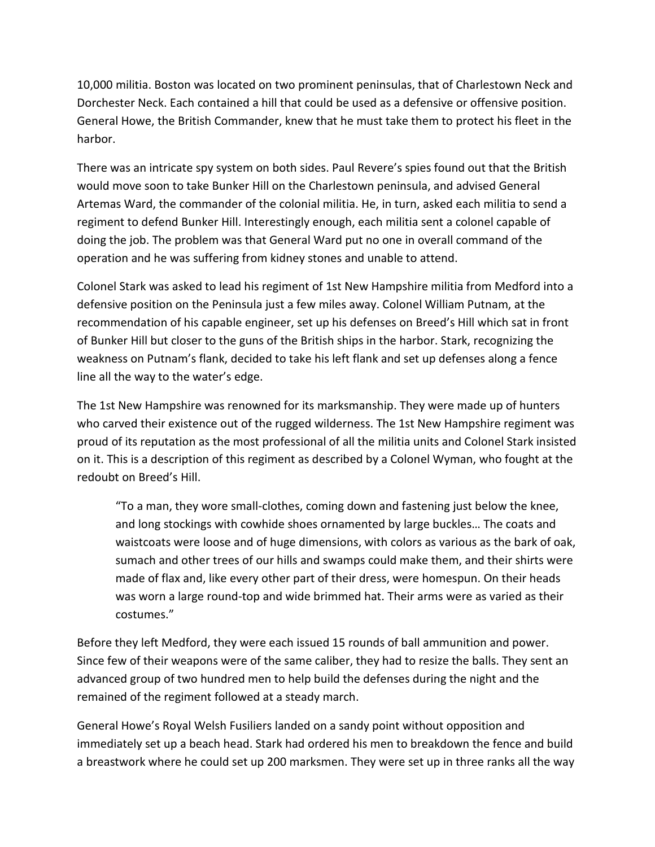10,000 militia. Boston was located on two prominent peninsulas, that of Charlestown Neck and Dorchester Neck. Each contained a hill that could be used as a defensive or offensive position. General Howe, the British Commander, knew that he must take them to protect his fleet in the harbor.

There was an intricate spy system on both sides. Paul Revere's spies found out that the British would move soon to take Bunker Hill on the Charlestown peninsula, and advised General Artemas Ward, the commander of the colonial militia. He, in turn, asked each militia to send a regiment to defend Bunker Hill. Interestingly enough, each militia sent a colonel capable of doing the job. The problem was that General Ward put no one in overall command of the operation and he was suffering from kidney stones and unable to attend.

Colonel Stark was asked to lead his regiment of 1st New Hampshire militia from Medford into a defensive position on the Peninsula just a few miles away. Colonel William Putnam, at the recommendation of his capable engineer, set up his defenses on Breed's Hill which sat in front of Bunker Hill but closer to the guns of the British ships in the harbor. Stark, recognizing the weakness on Putnam's flank, decided to take his left flank and set up defenses along a fence line all the way to the water's edge.

The 1st New Hampshire was renowned for its marksmanship. They were made up of hunters who carved their existence out of the rugged wilderness. The 1st New Hampshire regiment was proud of its reputation as the most professional of all the militia units and Colonel Stark insisted on it. This is a description of this regiment as described by a Colonel Wyman, who fought at the redoubt on Breed's Hill.

"To a man, they wore small-clothes, coming down and fastening just below the knee, and long stockings with cowhide shoes ornamented by large buckles… The coats and waistcoats were loose and of huge dimensions, with colors as various as the bark of oak, sumach and other trees of our hills and swamps could make them, and their shirts were made of flax and, like every other part of their dress, were homespun. On their heads was worn a large round-top and wide brimmed hat. Their arms were as varied as their costumes."

Before they left Medford, they were each issued 15 rounds of ball ammunition and power. Since few of their weapons were of the same caliber, they had to resize the balls. They sent an advanced group of two hundred men to help build the defenses during the night and the remained of the regiment followed at a steady march.

General Howe's Royal Welsh Fusiliers landed on a sandy point without opposition and immediately set up a beach head. Stark had ordered his men to breakdown the fence and build a breastwork where he could set up 200 marksmen. They were set up in three ranks all the way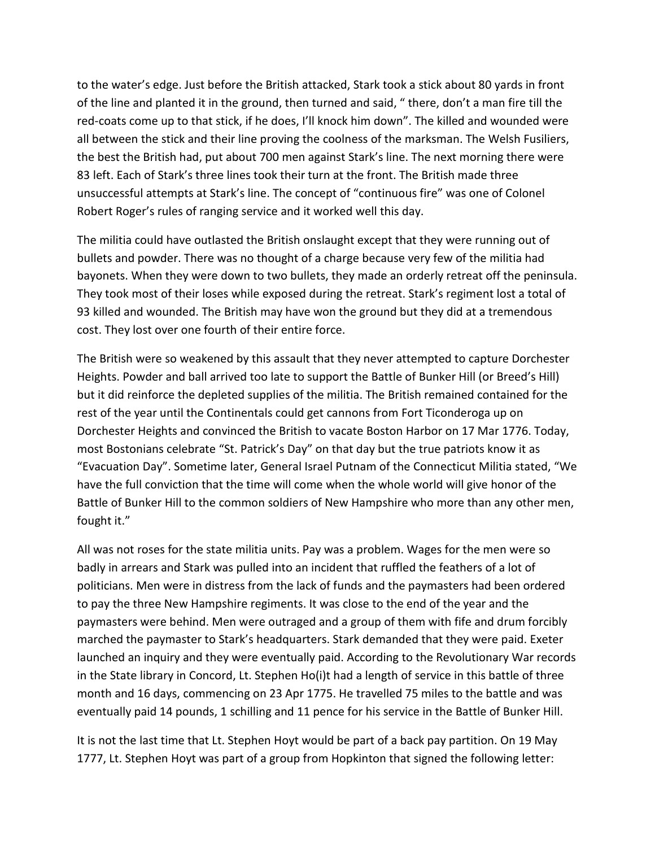to the water's edge. Just before the British attacked, Stark took a stick about 80 yards in front of the line and planted it in the ground, then turned and said, " there, don't a man fire till the red-coats come up to that stick, if he does, I'll knock him down". The killed and wounded were all between the stick and their line proving the coolness of the marksman. The Welsh Fusiliers, the best the British had, put about 700 men against Stark's line. The next morning there were 83 left. Each of Stark's three lines took their turn at the front. The British made three unsuccessful attempts at Stark's line. The concept of "continuous fire" was one of Colonel Robert Roger's rules of ranging service and it worked well this day.

The militia could have outlasted the British onslaught except that they were running out of bullets and powder. There was no thought of a charge because very few of the militia had bayonets. When they were down to two bullets, they made an orderly retreat off the peninsula. They took most of their loses while exposed during the retreat. Stark's regiment lost a total of 93 killed and wounded. The British may have won the ground but they did at a tremendous cost. They lost over one fourth of their entire force.

The British were so weakened by this assault that they never attempted to capture Dorchester Heights. Powder and ball arrived too late to support the Battle of Bunker Hill (or Breed's Hill) but it did reinforce the depleted supplies of the militia. The British remained contained for the rest of the year until the Continentals could get cannons from Fort Ticonderoga up on Dorchester Heights and convinced the British to vacate Boston Harbor on 17 Mar 1776. Today, most Bostonians celebrate "St. Patrick's Day" on that day but the true patriots know it as "Evacuation Day". Sometime later, General Israel Putnam of the Connecticut Militia stated, "We have the full conviction that the time will come when the whole world will give honor of the Battle of Bunker Hill to the common soldiers of New Hampshire who more than any other men, fought it."

All was not roses for the state militia units. Pay was a problem. Wages for the men were so badly in arrears and Stark was pulled into an incident that ruffled the feathers of a lot of politicians. Men were in distress from the lack of funds and the paymasters had been ordered to pay the three New Hampshire regiments. It was close to the end of the year and the paymasters were behind. Men were outraged and a group of them with fife and drum forcibly marched the paymaster to Stark's headquarters. Stark demanded that they were paid. Exeter launched an inquiry and they were eventually paid. According to the Revolutionary War records in the State library in Concord, Lt. Stephen Ho(i)t had a length of service in this battle of three month and 16 days, commencing on 23 Apr 1775. He travelled 75 miles to the battle and was eventually paid 14 pounds, 1 schilling and 11 pence for his service in the Battle of Bunker Hill.

It is not the last time that Lt. Stephen Hoyt would be part of a back pay partition. On 19 May 1777, Lt. Stephen Hoyt was part of a group from Hopkinton that signed the following letter: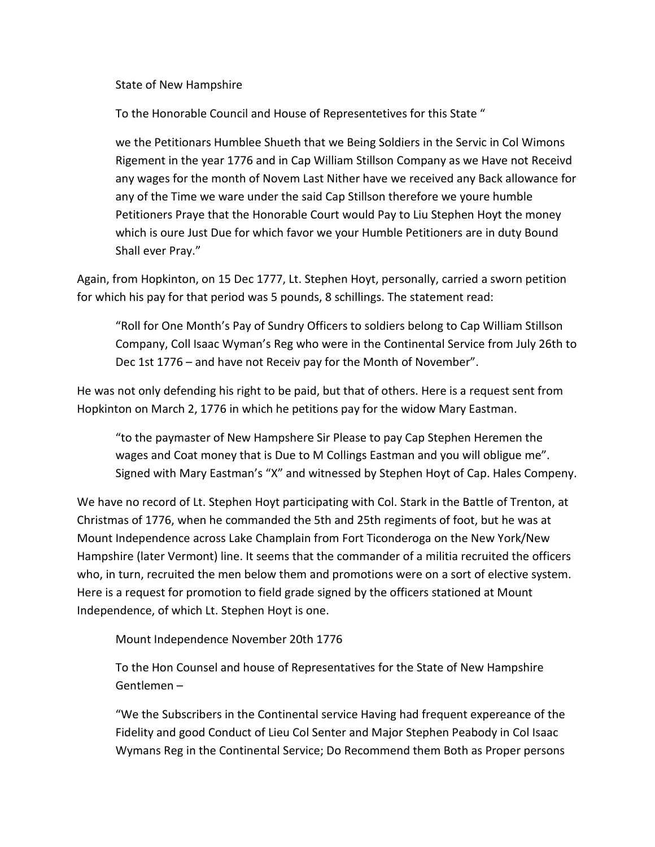State of New Hampshire

To the Honorable Council and House of Representetives for this State "

we the Petitionars Humblee Shueth that we Being Soldiers in the Servic in Col Wimons Rigement in the year 1776 and in Cap William Stillson Company as we Have not Receivd any wages for the month of Novem Last Nither have we received any Back allowance for any of the Time we ware under the said Cap Stillson therefore we youre humble Petitioners Praye that the Honorable Court would Pay to Liu Stephen Hoyt the money which is oure Just Due for which favor we your Humble Petitioners are in duty Bound Shall ever Pray."

Again, from Hopkinton, on 15 Dec 1777, Lt. Stephen Hoyt, personally, carried a sworn petition for which his pay for that period was 5 pounds, 8 schillings. The statement read:

"Roll for One Month's Pay of Sundry Officers to soldiers belong to Cap William Stillson Company, Coll Isaac Wyman's Reg who were in the Continental Service from July 26th to Dec 1st 1776 – and have not Receiv pay for the Month of November".

He was not only defending his right to be paid, but that of others. Here is a request sent from Hopkinton on March 2, 1776 in which he petitions pay for the widow Mary Eastman.

"to the paymaster of New Hampshere Sir Please to pay Cap Stephen Heremen the wages and Coat money that is Due to M Collings Eastman and you will obligue me". Signed with Mary Eastman's "X" and witnessed by Stephen Hoyt of Cap. Hales Compeny.

We have no record of Lt. Stephen Hoyt participating with Col. Stark in the Battle of Trenton, at Christmas of 1776, when he commanded the 5th and 25th regiments of foot, but he was at Mount Independence across Lake Champlain from Fort Ticonderoga on the New York/New Hampshire (later Vermont) line. It seems that the commander of a militia recruited the officers who, in turn, recruited the men below them and promotions were on a sort of elective system. Here is a request for promotion to field grade signed by the officers stationed at Mount Independence, of which Lt. Stephen Hoyt is one.

Mount Independence November 20th 1776

To the Hon Counsel and house of Representatives for the State of New Hampshire Gentlemen –

"We the Subscribers in the Continental service Having had frequent expereance of the Fidelity and good Conduct of Lieu Col Senter and Major Stephen Peabody in Col Isaac Wymans Reg in the Continental Service; Do Recommend them Both as Proper persons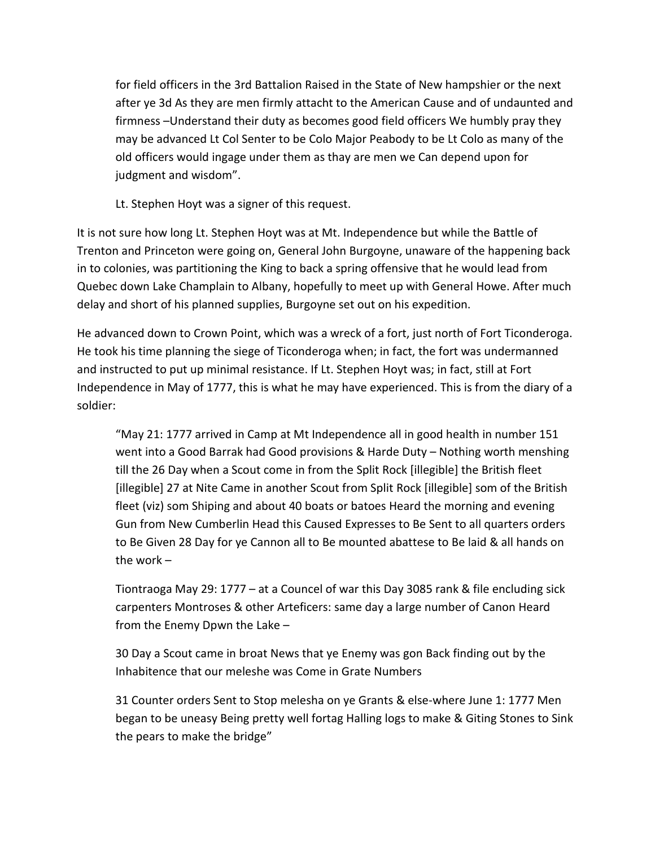for field officers in the 3rd Battalion Raised in the State of New hampshier or the next after ye 3d As they are men firmly attacht to the American Cause and of undaunted and firmness –Understand their duty as becomes good field officers We humbly pray they may be advanced Lt Col Senter to be Colo Major Peabody to be Lt Colo as many of the old officers would ingage under them as thay are men we Can depend upon for judgment and wisdom".

Lt. Stephen Hoyt was a signer of this request.

It is not sure how long Lt. Stephen Hoyt was at Mt. Independence but while the Battle of Trenton and Princeton were going on, General John Burgoyne, unaware of the happening back in to colonies, was partitioning the King to back a spring offensive that he would lead from Quebec down Lake Champlain to Albany, hopefully to meet up with General Howe. After much delay and short of his planned supplies, Burgoyne set out on his expedition.

He advanced down to Crown Point, which was a wreck of a fort, just north of Fort Ticonderoga. He took his time planning the siege of Ticonderoga when; in fact, the fort was undermanned and instructed to put up minimal resistance. If Lt. Stephen Hoyt was; in fact, still at Fort Independence in May of 1777, this is what he may have experienced. This is from the diary of a soldier:

"May 21: 1777 arrived in Camp at Mt Independence all in good health in number 151 went into a Good Barrak had Good provisions & Harde Duty – Nothing worth menshing till the 26 Day when a Scout come in from the Split Rock [illegible] the British fleet [illegible] 27 at Nite Came in another Scout from Split Rock [illegible] som of the British fleet (viz) som Shiping and about 40 boats or batoes Heard the morning and evening Gun from New Cumberlin Head this Caused Expresses to Be Sent to all quarters orders to Be Given 28 Day for ye Cannon all to Be mounted abattese to Be laid & all hands on the work –

Tiontraoga May 29: 1777 – at a Councel of war this Day 3085 rank & file encluding sick carpenters Montroses & other Arteficers: same day a large number of Canon Heard from the Enemy Dpwn the Lake –

30 Day a Scout came in broat News that ye Enemy was gon Back finding out by the Inhabitence that our meleshe was Come in Grate Numbers

31 Counter orders Sent to Stop melesha on ye Grants & else-where June 1: 1777 Men began to be uneasy Being pretty well fortag Halling logs to make & Giting Stones to Sink the pears to make the bridge"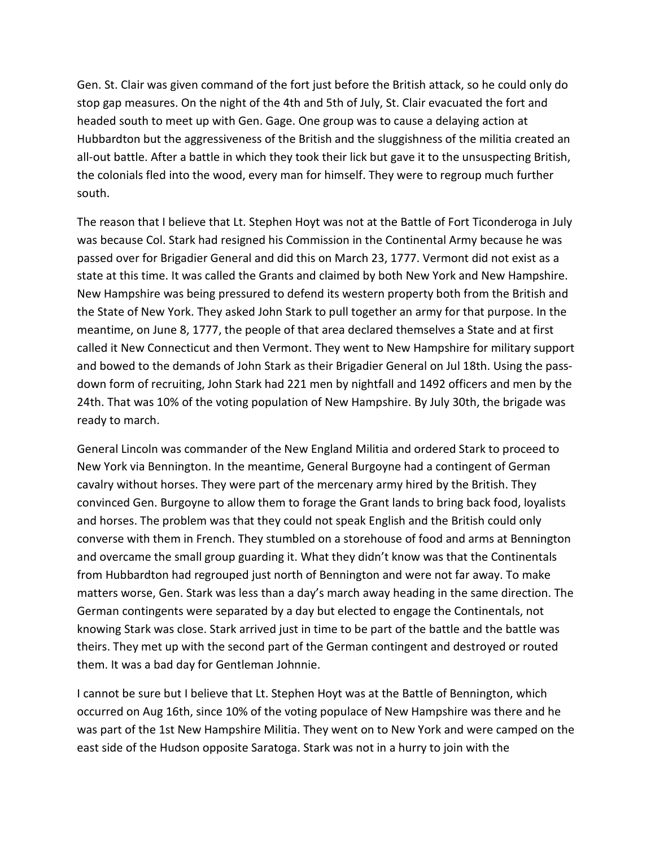Gen. St. Clair was given command of the fort just before the British attack, so he could only do stop gap measures. On the night of the 4th and 5th of July, St. Clair evacuated the fort and headed south to meet up with Gen. Gage. One group was to cause a delaying action at Hubbardton but the aggressiveness of the British and the sluggishness of the militia created an all-out battle. After a battle in which they took their lick but gave it to the unsuspecting British, the colonials fled into the wood, every man for himself. They were to regroup much further south.

The reason that I believe that Lt. Stephen Hoyt was not at the Battle of Fort Ticonderoga in July was because Col. Stark had resigned his Commission in the Continental Army because he was passed over for Brigadier General and did this on March 23, 1777. Vermont did not exist as a state at this time. It was called the Grants and claimed by both New York and New Hampshire. New Hampshire was being pressured to defend its western property both from the British and the State of New York. They asked John Stark to pull together an army for that purpose. In the meantime, on June 8, 1777, the people of that area declared themselves a State and at first called it New Connecticut and then Vermont. They went to New Hampshire for military support and bowed to the demands of John Stark as their Brigadier General on Jul 18th. Using the passdown form of recruiting, John Stark had 221 men by nightfall and 1492 officers and men by the 24th. That was 10% of the voting population of New Hampshire. By July 30th, the brigade was ready to march.

General Lincoln was commander of the New England Militia and ordered Stark to proceed to New York via Bennington. In the meantime, General Burgoyne had a contingent of German cavalry without horses. They were part of the mercenary army hired by the British. They convinced Gen. Burgoyne to allow them to forage the Grant lands to bring back food, loyalists and horses. The problem was that they could not speak English and the British could only converse with them in French. They stumbled on a storehouse of food and arms at Bennington and overcame the small group guarding it. What they didn't know was that the Continentals from Hubbardton had regrouped just north of Bennington and were not far away. To make matters worse, Gen. Stark was less than a day's march away heading in the same direction. The German contingents were separated by a day but elected to engage the Continentals, not knowing Stark was close. Stark arrived just in time to be part of the battle and the battle was theirs. They met up with the second part of the German contingent and destroyed or routed them. It was a bad day for Gentleman Johnnie.

I cannot be sure but I believe that Lt. Stephen Hoyt was at the Battle of Bennington, which occurred on Aug 16th, since 10% of the voting populace of New Hampshire was there and he was part of the 1st New Hampshire Militia. They went on to New York and were camped on the east side of the Hudson opposite Saratoga. Stark was not in a hurry to join with the